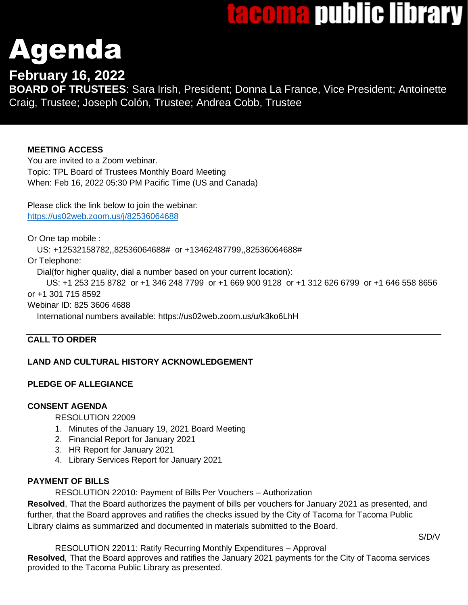# tacoma public library

# Agenda

# **February 16, 2022**

**BOARD OF TRUSTEES**: Sara Irish, President; Donna La France, Vice President; Antoinette Craig, Trustee; Joseph Colón, Trustee; Andrea Cobb, Trustee

# **MEETING ACCESS**

You are invited to a Zoom webinar. Topic: TPL Board of Trustees Monthly Board Meeting When: Feb 16, 2022 05:30 PM Pacific Time (US and Canada)

Please click the link below to join the webinar: <https://us02web.zoom.us/j/82536064688>

Or One tap mobile :

US: +12532158782,,82536064688# or +13462487799,,82536064688#

Or Telephone:

Dial(for higher quality, dial a number based on your current location):

 US: +1 253 215 8782 or +1 346 248 7799 or +1 669 900 9128 or +1 312 626 6799 or +1 646 558 8656 or +1 301 715 8592

Webinar ID: 825 3606 4688

International numbers available: https://us02web.zoom.us/u/k3ko6LhH

# **CALL TO ORDER**

# **LAND AND CULTURAL HISTORY ACKNOWLEDGEMENT**

# **PLEDGE OF ALLEGIANCE**

# **CONSENT AGENDA**

RESOLUTION 22009

- 1. Minutes of the January 19, 2021 Board Meeting
- 2. Financial Report for January 2021
- 3. HR Report for January 2021
- 4. Library Services Report for January 2021

# **PAYMENT OF BILLS**

RESOLUTION 22010: Payment of Bills Per Vouchers – Authorization

**Resolved**, That the Board authorizes the payment of bills per vouchers for January 2021 as presented, and further, that the Board approves and ratifies the checks issued by the City of Tacoma for Tacoma Public Library claims as summarized and documented in materials submitted to the Board.

S/D/V

RESOLUTION 22011: Ratify Recurring Monthly Expenditures – Approval **Resolved***,* That the Board approves and ratifies the January 2021 payments for the City of Tacoma services provided to the Tacoma Public Library as presented.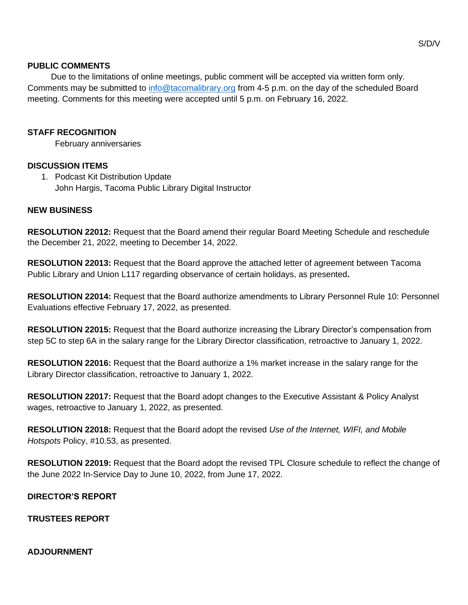#### **PUBLIC COMMENTS**

 Due to the limitations of online meetings, public comment will be accepted via written form only. Comments may be submitted to [info@tacomalibrary.org](mailto:info@tacomalibrary.org?subject=Public%20Comment,%20Board%20of%20Trustees%20Meeting) from 4-5 p.m. on the day of the scheduled Board meeting. Comments for this meeting were accepted until 5 p.m. on February 16, 2022.

#### **STAFF RECOGNITION**

February anniversaries

#### **DISCUSSION ITEMS**

1. Podcast Kit Distribution Update John Hargis, Tacoma Public Library Digital Instructor

#### **NEW BUSINESS**

**RESOLUTION 22012:** Request that the Board amend their regular Board Meeting Schedule and reschedule the December 21, 2022, meeting to December 14, 2022.

**RESOLUTION 22013:** Request that the Board approve the attached letter of agreement between Tacoma Public Library and Union L117 regarding observance of certain holidays, as presented**.**

**RESOLUTION 22014:** Request that the Board authorize amendments to Library Personnel Rule 10: Personnel Evaluations effective February 17, 2022, as presented.

**RESOLUTION 22015:** Request that the Board authorize increasing the Library Director's compensation from step 5C to step 6A in the salary range for the Library Director classification, retroactive to January 1, 2022.

**RESOLUTION 22016:** Request that the Board authorize a 1% market increase in the salary range for the Library Director classification, retroactive to January 1, 2022.

**RESOLUTION 22017:** Request that the Board adopt changes to the Executive Assistant & Policy Analyst wages, retroactive to January 1, 2022, as presented.

**RESOLUTION 22018:** Request that the Board adopt the revised *Use of the Internet, WIFI, and Mobile Hotspots* Policy, #10.53, as presented.

**RESOLUTION 22019:** Request that the Board adopt the revised TPL Closure schedule to reflect the change of the June 2022 In-Service Day to June 10, 2022, from June 17, 2022.

#### **DIRECTOR'S REPORT**

**TRUSTEES REPORT**

#### **ADJOURNMENT**